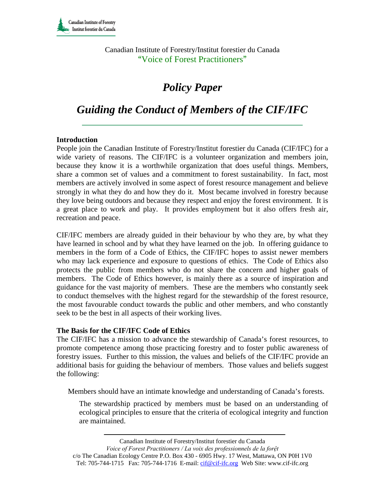Canadian Institute of Forestry/Institut forestier du Canada "Voice of Forest Practitioners"

# *Policy Paper*

# *Guiding the Conduct of Members of the CIF/IFC*

#### **Introduction**

People join the Canadian Institute of Forestry/Institut forestier du Canada (CIF/IFC) for a wide variety of reasons. The CIF/IFC is a volunteer organization and members join, because they know it is a worthwhile organization that does useful things. Members, share a common set of values and a commitment to forest sustainability. In fact, most members are actively involved in some aspect of forest resource management and believe strongly in what they do and how they do it. Most became involved in forestry because they love being outdoors and because they respect and enjoy the forest environment. It is a great place to work and play. It provides employment but it also offers fresh air, recreation and peace.

CIF/IFC members are already guided in their behaviour by who they are, by what they have learned in school and by what they have learned on the job. In offering guidance to members in the form of a Code of Ethics, the CIF/IFC hopes to assist newer members who may lack experience and exposure to questions of ethics. The Code of Ethics also protects the public from members who do not share the concern and higher goals of members. The Code of Ethics however, is mainly there as a source of inspiration and guidance for the vast majority of members. These are the members who constantly seek to conduct themselves with the highest regard for the stewardship of the forest resource, the most favourable conduct towards the public and other members, and who constantly seek to be the best in all aspects of their working lives.

#### **The Basis for the CIF/IFC Code of Ethics**

The CIF/IFC has a mission to advance the stewardship of Canada's forest resources, to promote competence among those practicing forestry and to foster public awareness of forestry issues. Further to this mission, the values and beliefs of the CIF/IFC provide an additional basis for guiding the behaviour of members. Those values and beliefs suggest the following:

Members should have an intimate knowledge and understanding of Canada's forests.

The stewardship practiced by members must be based on an understanding of ecological principles to ensure that the criteria of ecological integrity and function are maintained.

Canadian Institute of Forestry/Institut forestier du Canada

*Voice of Forest Practitioners / La voix des professionnels de la forệt*  c/o The Canadian Ecology Centre P.O. Box 430 - 6905 Hwy. 17 West, Mattawa, ON P0H 1V0 Tel: 705-744-1715 Fax: 705-744-1716 E-mail: cif@cif-ifc.org Web Site: www.cif-ifc.org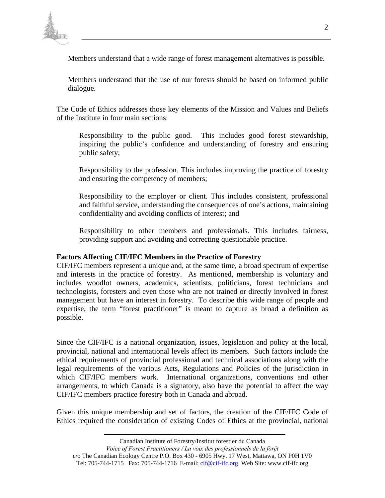

Members understand that a wide range of forest management alternatives is possible.

Members understand that the use of our forests should be based on informed public dialogue.

The Code of Ethics addresses those key elements of the Mission and Values and Beliefs of the Institute in four main sections:

Responsibility to the public good. This includes good forest stewardship, inspiring the public's confidence and understanding of forestry and ensuring public safety;

Responsibility to the profession. This includes improving the practice of forestry and ensuring the competency of members;

Responsibility to the employer or client. This includes consistent, professional and faithful service, understanding the consequences of one's actions, maintaining confidentiality and avoiding conflicts of interest; and

Responsibility to other members and professionals. This includes fairness, providing support and avoiding and correcting questionable practice.

## **Factors Affecting CIF/IFC Members in the Practice of Forestry**

CIF/IFC members represent a unique and, at the same time, a broad spectrum of expertise and interests in the practice of forestry. As mentioned, membership is voluntary and includes woodlot owners, academics, scientists, politicians, forest technicians and technologists, foresters and even those who are not trained or directly involved in forest management but have an interest in forestry. To describe this wide range of people and expertise, the term "forest practitioner" is meant to capture as broad a definition as possible.

Since the CIF/IFC is a national organization, issues, legislation and policy at the local, provincial, national and international levels affect its members. Such factors include the ethical requirements of provincial professional and technical associations along with the legal requirements of the various Acts, Regulations and Policies of the jurisdiction in which CIF/IFC members work. International organizations, conventions and other arrangements, to which Canada is a signatory, also have the potential to affect the way CIF/IFC members practice forestry both in Canada and abroad.

Given this unique membership and set of factors, the creation of the CIF/IFC Code of Ethics required the consideration of existing Codes of Ethics at the provincial, national

Canadian Institute of Forestry/Institut forestier du Canada

*Voice of Forest Practitioners / La voix des professionnels de la forệt* 

c/o The Canadian Ecology Centre P.O. Box 430 - 6905 Hwy. 17 West, Mattawa, ON P0H 1V0 Tel: 705-744-1715 Fax: 705-744-1716 E-mail: cif@cif-ifc.org Web Site: www.cif-ifc.org